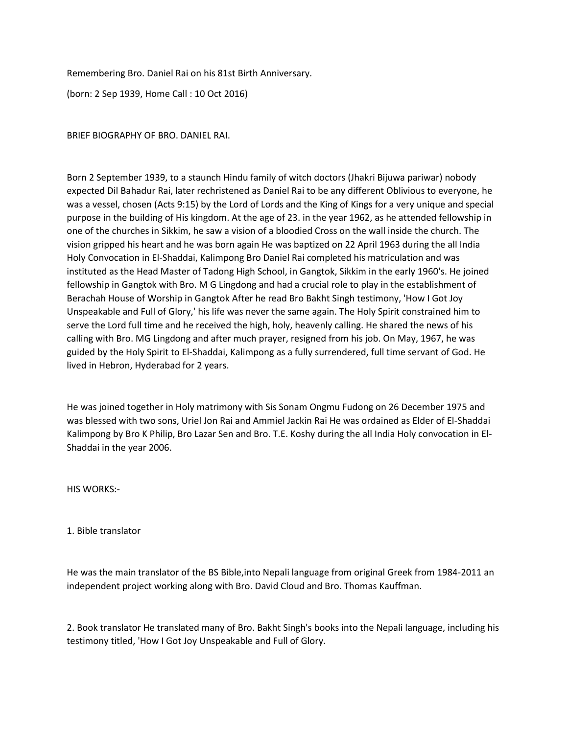Remembering Bro. Daniel Rai on his 81st Birth Anniversary.

(born: 2 Sep 1939, Home Call : 10 Oct 2016)

BRIEF BIOGRAPHY OF BRO. DANIEL RAI.

Born 2 September 1939, to a staunch Hindu family of witch doctors (Jhakri Bijuwa pariwar) nobody expected Dil Bahadur Rai, later rechristened as Daniel Rai to be any different Oblivious to everyone, he was a vessel, chosen (Acts 9:15) by the Lord of Lords and the King of Kings for a very unique and special purpose in the building of His kingdom. At the age of 23. in the year 1962, as he attended fellowship in one of the churches in Sikkim, he saw a vision of a bloodied Cross on the wall inside the church. The vision gripped his heart and he was born again He was baptized on 22 April 1963 during the all India Holy Convocation in El-Shaddai, Kalimpong Bro Daniel Rai completed his matriculation and was instituted as the Head Master of Tadong High School, in Gangtok, Sikkim in the early 1960's. He joined fellowship in Gangtok with Bro. M G Lingdong and had a crucial role to play in the establishment of Berachah House of Worship in Gangtok After he read Bro Bakht Singh testimony, 'How I Got Joy Unspeakable and Full of Glory,' his life was never the same again. The Holy Spirit constrained him to serve the Lord full time and he received the high, holy, heavenly calling. He shared the news of his calling with Bro. MG Lingdong and after much prayer, resigned from his job. On May, 1967, he was guided by the Holy Spirit to El-Shaddai, Kalimpong as a fully surrendered, full time servant of God. He lived in Hebron, Hyderabad for 2 years.

He was joined together in Holy matrimony with Sis Sonam Ongmu Fudong on 26 December 1975 and was blessed with two sons, Uriel Jon Rai and Ammiel Jackin Rai He was ordained as Elder of El-Shaddai Kalimpong by Bro K Philip, Bro Lazar Sen and Bro. T.E. Koshy during the all India Holy convocation in El-Shaddai in the year 2006.

HIS WORKS:-

1. Bible translator

He was the main translator of the BS Bible,into Nepali language from original Greek from 1984-2011 an independent project working along with Bro. David Cloud and Bro. Thomas Kauffman.

2. Book translator He translated many of Bro. Bakht Singh's books into the Nepali language, including his testimony titled, 'How I Got Joy Unspeakable and Full of Glory.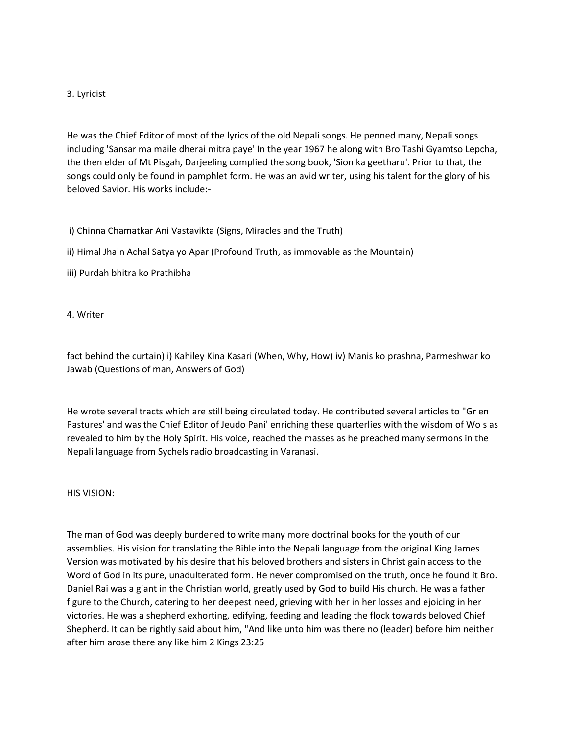## 3. Lyricist

He was the Chief Editor of most of the lyrics of the old Nepali songs. He penned many, Nepali songs including 'Sansar ma maile dherai mitra paye' In the year 1967 he along with Bro Tashi Gyamtso Lepcha, the then elder of Mt Pisgah, Darjeeling complied the song book, 'Sion ka geetharu'. Prior to that, the songs could only be found in pamphlet form. He was an avid writer, using his talent for the glory of his beloved Savior. His works include:-

i) Chinna Chamatkar Ani Vastavikta (Signs, Miracles and the Truth)

ii) Himal Jhain Achal Satya yo Apar (Profound Truth, as immovable as the Mountain)

iii) Purdah bhitra ko Prathibha

4. Writer

fact behind the curtain) i) Kahiley Kina Kasari (When, Why, How) iv) Manis ko prashna, Parmeshwar ko Jawab (Questions of man, Answers of God)

He wrote several tracts which are still being circulated today. He contributed several articles to "Gr en Pastures' and was the Chief Editor of Jeudo Pani' enriching these quarterlies with the wisdom of Wo s as revealed to him by the Holy Spirit. His voice, reached the masses as he preached many sermons in the Nepali language from Sychels radio broadcasting in Varanasi.

HIS VISION:

The man of God was deeply burdened to write many more doctrinal books for the youth of our assemblies. His vision for translating the Bible into the Nepali language from the original King James Version was motivated by his desire that his beloved brothers and sisters in Christ gain access to the Word of God in its pure, unadulterated form. He never compromised on the truth, once he found it Bro. Daniel Rai was a giant in the Christian world, greatly used by God to build His church. He was a father figure to the Church, catering to her deepest need, grieving with her in her losses and ejoicing in her victories. He was a shepherd exhorting, edifying, feeding and leading the flock towards beloved Chief Shepherd. It can be rightly said about him, "And like unto him was there no (leader) before him neither after him arose there any like him 2 Kings 23:25